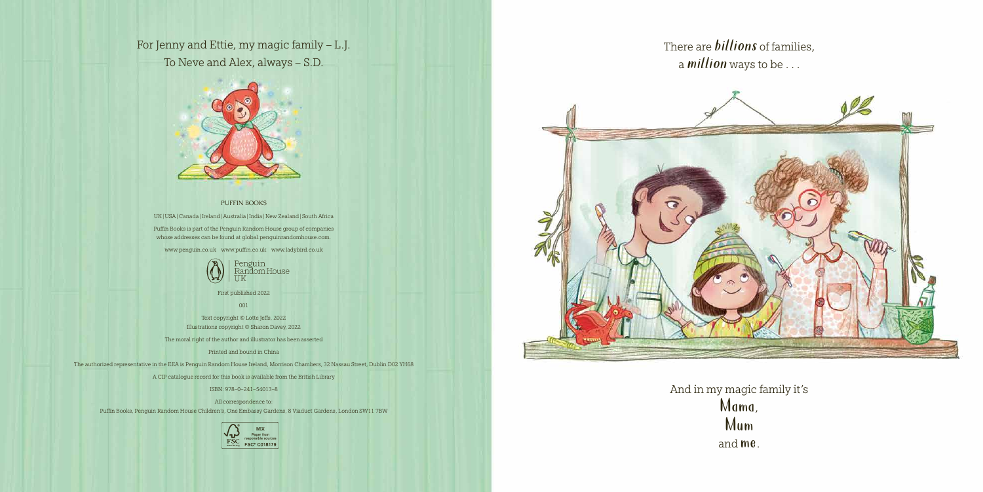## For Jenny and Ettie, my magic family – L.J.

To Neve and Alex, always – S.D.



## PUFFIN BOOKS

UK|USA|Canada |Ireland|Australia |India |New Zealand| South Africa Puffin Books is part of the Penguin Random House group of companies whose addresses can be found at global.penguinrandomhouse.com.

www.penguin.co.uk www.puffin.co.uk www.ladybird.co.uk



First published 2022

001

Text copyright © Lotte Jeffs, 2022 Illustrations copyright © Sharon Davey, 2022

The moral right of the author and illustrator has been asserted

Printed and bound in China

The authorized representative in the EEA is Penguin Random House Ireland, Morrison Chambers, 32 Nassau Street, Dublin D02 YH68

A CIP catalogue record for this book is available from the British Library

ISBN: 978–0–241–54013–8

All correspondence to:

Puffin Books, Penguin Random House Children's, One Embassy Gardens, 8 Viaduct Gardens, London SW11 7BW





There are *billions* of families, <sup>a</sup>*million* ways to be . . .

And in my magic family it's Mama, Mum and me.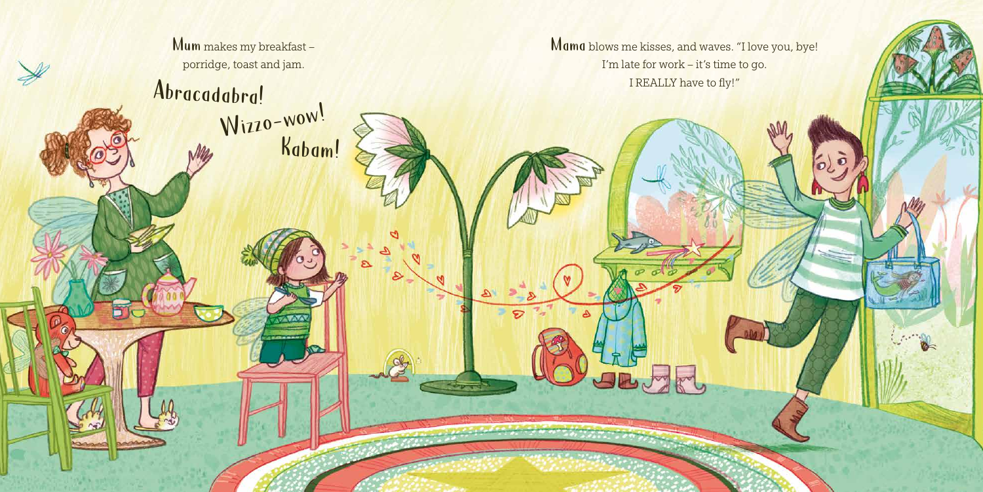Mum makes my breakfast porridge, toast and jam.

## Abracadabra!<br>
Wizzo-wow!<br>
Kabam!

Mama blows me kisses, and waves. "I love you, bye! I'm late for work – it's time to go.